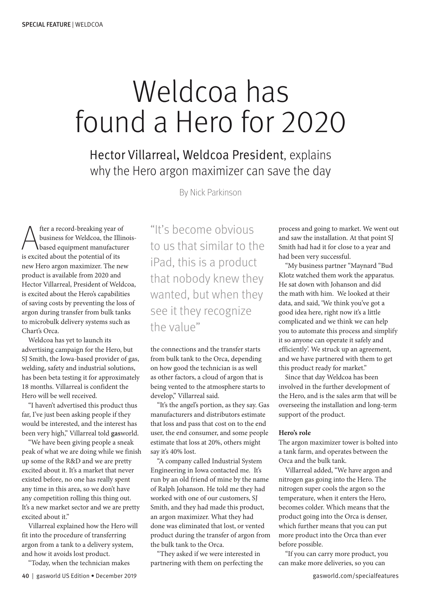## Weldcoa has found a Hero for 2020

Hector Villarreal, Weldcoa President, explains why the Hero argon maximizer can save the day

By Nick Parkinson

A fter a record-breaking year of<br>business for Weldcoa, the Illi<br>based equipment manufactu<br>is excited about the potential of its fter a record-breaking year of business for Weldcoa, the Illinoisbased equipment manufacturer new Hero argon maximizer. The new product is available from 2020 and Hector Villarreal, President of Weldcoa, is excited about the Hero's capabilities of saving costs by preventing the loss of argon during transfer from bulk tanks to microbulk delivery systems such as Chart's Orca.

Weldcoa has yet to launch its advertising campaign for the Hero, but SJ Smith, the Iowa-based provider of gas, welding, safety and industrial solutions, has been beta testing it for approximately 18 months. Villarreal is confident the Hero will be well received.

"I haven't advertised this product thus far, I've just been asking people if they would be interested, and the interest has been very high," Villarreal told **gas**world.

"We have been giving people a sneak peak of what we are doing while we finish up some of the R&D and we are pretty excited about it. It's a market that never existed before, no one has really spent any time in this area, so we don't have any competition rolling this thing out. It's a new market sector and we are pretty excited about it."

Villarreal explained how the Hero will fit into the procedure of transferring argon from a tank to a delivery system, and how it avoids lost product.

"Today, when the technician makes

"It's become obvious to us that similar to the iPad, this is a product that nobody knew they wanted, but when they see it they recognize the value"

the connections and the transfer starts from bulk tank to the Orca, depending on how good the technician is as well as other factors, a cloud of argon that is being vented to the atmosphere starts to develop," Villarreal said.

"It's the angel's portion, as they say. Gas manufacturers and distributors estimate that loss and pass that cost on to the end user, the end consumer, and some people estimate that loss at 20%, others might say it's 40% lost.

"A company called Industrial System Engineering in Iowa contacted me. It's run by an old friend of mine by the name of Ralph Johanson. He told me they had worked with one of our customers, SJ Smith, and they had made this product, an argon maximizer. What they had done was eliminated that lost, or vented product during the transfer of argon from the bulk tank to the Orca.

"They asked if we were interested in partnering with them on perfecting the process and going to market. We went out and saw the installation. At that point SJ Smith had had it for close to a year and had been very successful.

"My business partner "Maynard "Bud Klotz watched them work the apparatus. He sat down with Johanson and did the math with him. We looked at their data, and said, 'We think you've got a good idea here, right now it's a little complicated and we think we can help you to automate this process and simplify it so anyone can operate it safely and efficiently'. We struck up an agreement, and we have partnered with them to get this product ready for market."

Since that day Weldcoa has been involved in the further development of the Hero, and is the sales arm that will be overseeing the installation and long-term support of the product.

## **Hero's role**

The argon maximizer tower is bolted into a tank farm, and operates between the Orca and the bulk tank.

Villarreal added, "We have argon and nitrogen gas going into the Hero. The nitrogen super cools the argon so the temperature, when it enters the Hero, becomes colder. Which means that the product going into the Orca is denser, which further means that you can put more product into the Orca than ever before possible.

"If you can carry more product, you can make more deliveries, so you can